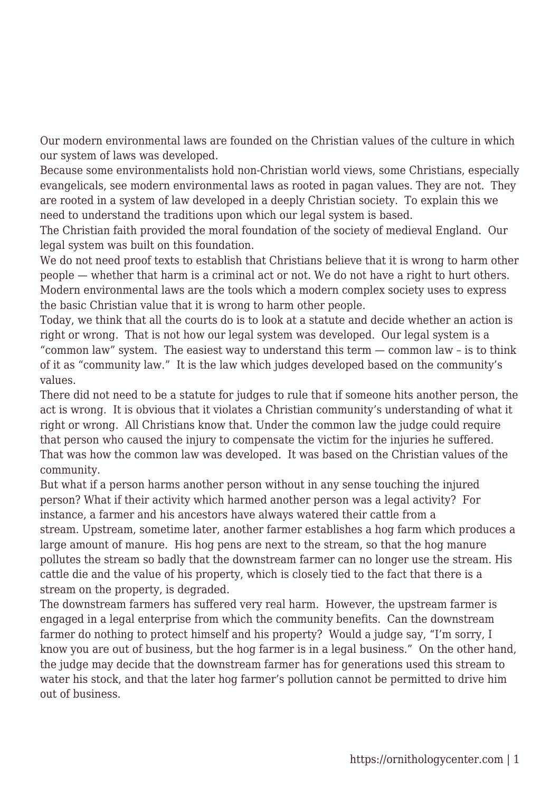Our modern environmental laws are founded on the Christian values of the culture in which our system of laws was developed.

Because some environmentalists hold non-Christian world views, some Christians, especially evangelicals, see modern environmental laws as rooted in pagan values. They are not. They are rooted in a system of law developed in a deeply Christian society. To explain this we need to understand the traditions upon which our legal system is based.

The Christian faith provided the moral foundation of the society of medieval England. Our legal system was built on this foundation.

We do not need proof texts to establish that Christians believe that it is wrong to harm other people — whether that harm is a criminal act or not. We do not have a right to hurt others. Modern environmental laws are the tools which a modern complex society uses to express the basic Christian value that it is wrong to harm other people.

Today, we think that all the courts do is to look at a statute and decide whether an action is right or wrong. That is not how our legal system was developed. Our legal system is a "common law" system. The easiest way to understand this term — common law – is to think of it as "community law." It is the law which judges developed based on the community's values.

There did not need to be a statute for judges to rule that if someone hits another person, the act is wrong. It is obvious that it violates a Christian community's understanding of what it right or wrong. All Christians know that. Under the common law the judge could require that person who caused the injury to compensate the victim for the injuries he suffered. That was how the common law was developed. It was based on the Christian values of the community.

But what if a person harms another person without in any sense touching the injured person? What if their activity which harmed another person was a legal activity? For instance, a farmer and his ancestors have always watered their cattle from a stream. Upstream, sometime later, another farmer establishes a hog farm which produces a large amount of manure. His hog pens are next to the stream, so that the hog manure pollutes the stream so badly that the downstream farmer can no longer use the stream. His cattle die and the value of his property, which is closely tied to the fact that there is a stream on the property, is degraded.

The downstream farmers has suffered very real harm. However, the upstream farmer is engaged in a legal enterprise from which the community benefits. Can the downstream farmer do nothing to protect himself and his property? Would a judge say, "I'm sorry, I know you are out of business, but the hog farmer is in a legal business." On the other hand, the judge may decide that the downstream farmer has for generations used this stream to water his stock, and that the later hog farmer's pollution cannot be permitted to drive him out of business.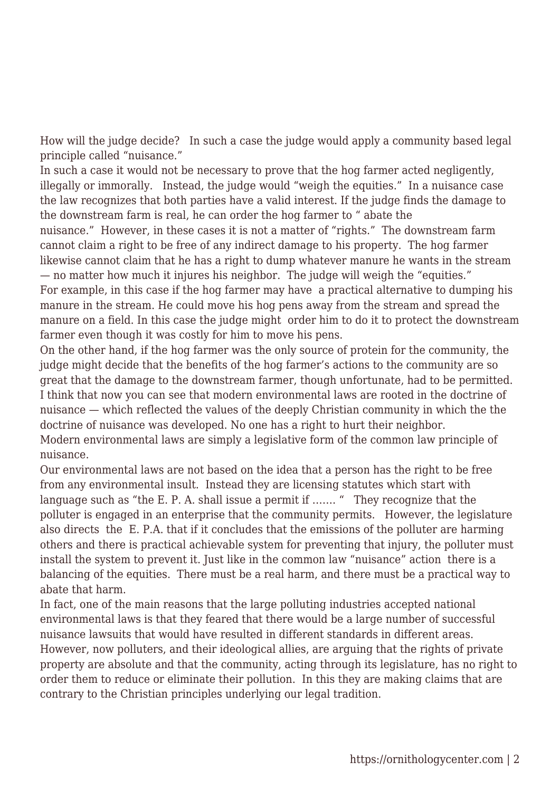How will the judge decide? In such a case the judge would apply a community based legal principle called "nuisance."

In such a case it would not be necessary to prove that the hog farmer acted negligently, illegally or immorally. Instead, the judge would "weigh the equities." In a nuisance case the law recognizes that both parties have a valid interest. If the judge finds the damage to the downstream farm is real, he can order the hog farmer to " abate the nuisance." However, in these cases it is not a matter of "rights." The downstream farm cannot claim a right to be free of any indirect damage to his property. The hog farmer likewise cannot claim that he has a right to dump whatever manure he wants in the stream — no matter how much it injures his neighbor. The judge will weigh the "equities." For example, in this case if the hog farmer may have a practical alternative to dumping his manure in the stream. He could move his hog pens away from the stream and spread the manure on a field. In this case the judge might order him to do it to protect the downstream farmer even though it was costly for him to move his pens.

On the other hand, if the hog farmer was the only source of protein for the community, the judge might decide that the benefits of the hog farmer's actions to the community are so great that the damage to the downstream farmer, though unfortunate, had to be permitted. I think that now you can see that modern environmental laws are rooted in the doctrine of nuisance — which reflected the values of the deeply Christian community in which the the doctrine of nuisance was developed. No one has a right to hurt their neighbor. Modern environmental laws are simply a legislative form of the common law principle of nuisance.

Our environmental laws are not based on the idea that a person has the right to be free from any environmental insult. Instead they are licensing statutes which start with language such as "the E. P. A. shall issue a permit if ……. " They recognize that the polluter is engaged in an enterprise that the community permits. However, the legislature also directs the E. P.A. that if it concludes that the emissions of the polluter are harming others and there is practical achievable system for preventing that injury, the polluter must install the system to prevent it. Just like in the common law "nuisance" action there is a balancing of the equities. There must be a real harm, and there must be a practical way to abate that harm.

In fact, one of the main reasons that the large polluting industries accepted national environmental laws is that they feared that there would be a large number of successful nuisance lawsuits that would have resulted in different standards in different areas. However, now polluters, and their ideological allies, are arguing that the rights of private property are absolute and that the community, acting through its legislature, has no right to order them to reduce or eliminate their pollution. In this they are making claims that are contrary to the Christian principles underlying our legal tradition.